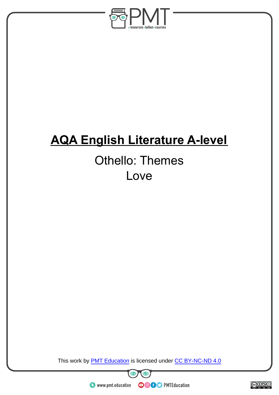

# **AQA English Literature A-level**

# Othello: Themes Love

This work by **PMT Education** is licensed under CC BY-NC-ND 4.0





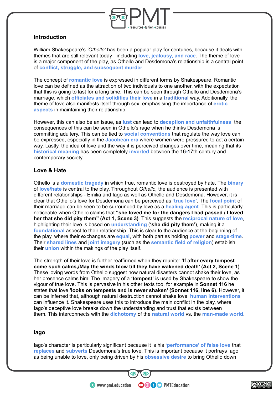

## **Introduction**

William Shakespeare's *'Othello'* has been a popular play for centuries, because it deals with themes that are still relevant today - including **love, jealousy, and race**. The theme of love is a major component of the play, as Othello and Desdemona's relationship is a central point of **conflict, struggle, and subsequent murder**.

The concept of **romantic love** is expressed in different forms by Shakespeare. Romantic love can be defined as the attraction of two individuals to one another, with the expectation that this is going to last for a long time. This can be seen through Othello and Desdemona's marriage, which **officiates and solidifies their love** in a **traditional** way. Additionally, the theme of love also manifests itself through sex, emphasising the importance of **erotic aspects** in maintaining their relationship.

However, this can also be an issue, as **lust** can lead to **deception and unfaithfulness**; the consequences of this can be seen in Othello's rage when he thinks Desdemona is committing adultery. This can be tied to **social conventions** that regulate the way love can be expressed, especially in the **Jacobean era** where women were pressured to act a certain way. Lastly, the idea of love and the way it is perceived changes over time, meaning that its **historical meaning** has been completely **inverted** between the 16**-**17th century and contemporary society.

## **Love & Hate**

Othello is a **domestic tragedy** in which true, romantic love is destroyed by hate. The **binary** of **love/hate** is central to the play. Throughout *Othello,* the audience is presented with different relationships - Emilia and Iago as well as Othello and Desdemona. However, it is clear that Othello's love for Desdemona can be perceived as **'true love'**. The **focal point** of their marriage can be seen to be surrounded by love as a **healing agent**. This is particularly noticeable when Othello claims that **"she loved me for the dangers I had passed / I loved her that she did pity them" (Act 1, Scene 3)**. This suggests the **reciprocal nature of love**, highlighting their love is based on **understanding** (**'she did pity them'**), making it a **foundational** aspect to their relationship. This is clear to the audience at the beginning of the play, where their exchanges are **equal**, with both parties holding **power** and **stage-time**. Their **shared lines** and **joint imagery** (such as the **semantic field of religion**) establish their **union** within the makings of the play itself.

The strength of their love is further reaffirmed when they reunite: **'If after every tempest come such calms,/May the winds blow till they have wakened death' (Act 2, Scene 1)**. These loving words from Othello suggest how natural disasters cannot shake their love, as her presence calms him. The imagery of a **'tempest'** is used by Shakespeare to show the vigour of true love. This is pervasive in his other texts too, for example in **Sonnet 116** he states that love **'looks on tempests and is never shaken' (Sonnet 116, line 6)**. However, it can be inferred that, although natural destruction cannot shake love, **human interventions** can influence it. Shakespeare uses this to introduce the main conflict in the play, where Iago's deceptive love breaks down the understanding and trust that exists between them. This interconnects with the **dichotomy** of the **natural world** vs. the **man-made world**.

### **Iago**

Iago's character is particularly significant because it is his **'performance' of false love** that **replaces** and **subverts** Desdemona's true love. This is important because it portrays Iago as being unable to love, only being driven by his **obsessive desire** to bring Othello down

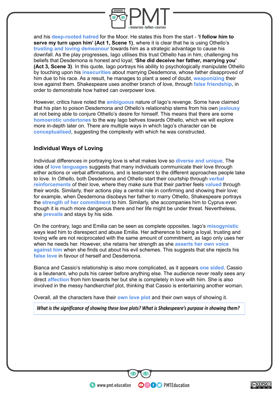

and his **deep-rooted hatred** for the Moor. He states this from the start - **'I follow him to serve my turn upon him' (Act 1, Scene 1)**, where it is clear that he is using Othello's **trusting and loving demeanour** towards him as a strategic advantage to cause his downfall. As the play progresses, Iago utilises this trust Othello has in him, challenging his beliefs that Desdemona is honest and loyal; **'She did deceive her father, marrying you' (Act 3, Scene 3)**. In this quote, Iago portrays his ability to psychologically manipulate Othello by touching upon his **insecurities** about marrying Desdemona, whose father disapproved of him due to his race. As a result, he manages to plant a seed of doubt, **weaponizing** their love against them. Shakespeare uses another branch of love, through **false friendship**, in order to demonstrate how hatred can overpower love.

However, critics have noted the **ambiguous** nature of Iago's revenge. Some have claimed that his plan to poison Desdemona and Othello's relationship stems from his own **jealousy** at not being able to conjure Othello's desire for himself. This means that there are some **homoerotic undertones** to the way Iago behves towards Othello, which we will explore more in-depth later on. There are multiple ways in which Iago's character can be **conceptualised**, suggesting the complexity with which he was constructed.

## **Individual Ways of Loving**

Individual differences in portraying love is what makes love so **diverse and unique**. The idea of **love languages** suggests that many individuals communicate their love through either actions or verbal affirmations, and is testament to the different approaches people take to love. In *Othello,* both Desdemona and Othello start their courtship through **verbal reinforcements** of their love, where they make sure that their partner feels **valued** through their words. Similarly, their actions play a central role in confirming and showing their love; for example, when Desdemona disobeys her father to marry Othello, Shakespeare portrays the **strength of her commitment** to him. Similarly, she accompanies him to Cyprus even though it is much more dangerous there and her life might be under threat. Nevertheless, she **prevails** and stays by his side.

On the contrary, Iago and Emilia can be seen as complete opposites. Iago's **misogynistic** ways lead him to disrespect and abuse Emilia. Her adherence to being a loyal, trusting and loving wife are not reciprocated with the same amount of commitment, as Iago only uses her when he needs her. However, she retains her strength as she **asserts her own voice against him** when she finds out about his evil schemes. This suggests that she rejects his **false love** in favour of herself and Desdemona.

Bianca and Cassio's relationship is also more complicated, as it appears **one sided**. Cassio is a lieutenant, who puts his career before anything else. The audience never really sees any direct **affection** from him towards her but she is completely in love with him. She is also involved in the messy handkerchief plot, thinking that Cassio is entertaining another woman.

Overall, all the characters have their **own love plot** and their own ways of showing it.

What is the significance of showing these love plots? What is Shakespeare's purpose in showing them?

**OOOO** PMTEducation

BY NC ND കരമ $\overline{\circ}$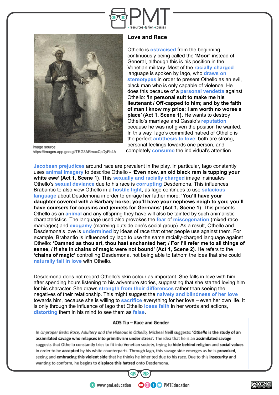



Image source: https://images.app.goo.gl/TRG3ARmaxCpDyFb4A

### **Love and Race**

Othello is **ostracised** from the beginning, continuously being called the **'Moor'** instead of General, although this is his position in the Venetian military. Most of the **racially charged** language is spoken by Iago, who **draws on stereotypes** in order to present Othello as an evil, black man who is only capable of violence. He does this because of a **personal vendetta** against Othello: **'In personal suit to make me his lieutenant / Off-capped to him; and by the faith of man I know my price; I am worth no worse a place' (Act 1, Scene 1)**. He wants to destroy Othello's marriage and Cassio's **reputation** because he was not given the position he wanted. In this way, Iago's committed hatred of Othello is the perfect **antithesis to love**; both are strong, personal feelings towards one person, and completely **consume** the individual's attention.

**Jacobean prejudices** around race are prevalent in the play. In particular, Iago constantly uses **animal imagery** to describe Othello - **'Even now, an old black ram is tupping your white ewe' (Act 1, Scene 1)**. This **sexually and racially charged** image insinuates Othello's **sexual deviance** due to his race is **corrupting** Desdemona. This influences Brabantio to also view Othello in a **hostile light**, as Iago continues to use **salacious language** about Desdemona in order to enrage her father more: **'You'll have your daughter covered with a Barbary horse; you'll have your nephews neigh to you; you'll have coursers for cousins and jennets for Germans' (Act 1, Scene 1**). This presents Othello as an **animal** and any offspring they have will also be tainted by such animalistic characteristics. The language used also provokes the **fear** of **miscegenation** (mixed-race marriages) and **exogamy** (marrying outside one's social group). As a result, Othello and Desdemona's love is **undermined** by ideas of race that other people use against them. For example, Brabantio is influenced by Iago to use the same racially-charged language against Othello: **'Damned as thou art, thou hast enchanted her; / For I'll refer me to all things of sense, / If she in chains of magic were not bound' (Act 1, Scene 2)**. He refers to the **'chains of magic'** controlling Desdemona, not being able to fathom the idea that she could **naturally fall in love** with Othello.

Desdemona does not regard Othello's skin colour as important. She falls in love with him after spending hours listening to his adventure stories, suggesting that she started loving him for his character. She draws **strength from their differences** rather than seeing the negatives of their relationship. This might suggest the **naivety and blindness of her love** towards him, because she is willing to **sacrifice** everything for her love – even her own life. It is only through the influence of Iago that Othello **loses faith** in her words and actions, **distorting** them in his mind to see them as **false**.

#### AO5 Tip - Race and Gender

In Unproper Beds: Race, Adultery and the Hideous in Othello, Micheal Neill suggests: 'Othello is the study of an assimilated savage who relapses into primitivism under stress'. The idea that he is an assimilated savage suggests that Othello constantly tries to fit into Venetian society, trying to hide behind religion and social values in order to be accepted by his white counterparts. Through lago, this savage side emerges as he is provoked, seeing and embracing this violent side that he thinks he inherited due to his race. Due to this insecurity and wanting to conform, he begins to displace this hatred onto Desdemona.



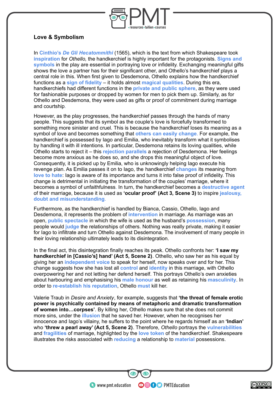

# **Love & Symbolism**

In **Cinthio's** *[De Gli Hecatommithi](https://www.bl.uk/collection-items/~/link.aspx?_id=5DB1E873C783492BA15C1F836397AC08&_z=z)* (1565), which is the text from which Shakespeare took **inspiration** for *Othello,* the handkerchief is highly important for the protagonists. **Signs and symbols** in the play are essential in portraying love or infidelity. Exchanging meaningful gifts shows the love a partner has for their significant other, and Othello's handkerchief plays a central role in this. When first given to Desdemona, Othello explains how the handkerchief functions as a **sign of fidelity** – it holds almost **magical qualities**. During this era, handkerchiefs had different functions in the **private and public sphere**, as they were used for fashionable purposes or dropped by women for men to pick them up. Similarly, as for Othello and Desdemona, they were used as gifts or proof of commitment during marriage and courtship.

However, as the play progresses, the handkerchief passes through the hands of many people. This suggests that its symbol as the couple's love is forcefully transformed to something more sinister and cruel. This is because the handkerchief loses its meaning as a symbol of love and becomes something that **others can easily change**. For example, the handkerchief is possessed by Iago and Emilia, who inevitably transform what it symbolises by handling it with ill intentions. In particular, Desdemona retains its loving qualities, while Othello starts to reject it – this **rejection parallels** a rejection of Desdemona. Her feelings become more anxious as he does so, and she drops this meaningful object of love. Consequently, it is picked up by Emilia, who is unknowingly helping Iago execute his revenge plan. As Emilia passes it on to Iago, the handkerchief **changes** its meaning from **love to hate**: Iago is aware of its importance and turns it into false proof of infidelity. This change is detrimental in initiating the transformation of the couples' marriage, where it becomes a symbol of unfaithfulness. In turn, the handkerchief becomes a **destructive agent** of their marriage, because it is used as **'ocular proof' (Act 3, Scene 3)** to inspire **jealousy, doubt and misunderstanding**.

Furthermore, as the handkerchief is handled by Bianca, Cassio, Othello, Iago and Desdemona, it represents the problem of **intervention** in marriage. As marriage was an open, **public spectacle** in which the wife is used as the husband's **possession**, many people would **judge** the relationships of others. Nothing was really private, making it easier for Iago to infiltrate and turn Othello against Desdemona. The involvement of many people in their loving relationship ultimately leads to its disintegration.

In the final act, this disintegration finally reaches its peak. Othello confronts her: **'I saw my handkerchief in [Cassio's] hand' (Act 5, Scene 2)**. Othello, who saw her as his equal by giving her an **independent voice** to speak for herself, now speaks over and for her. This change suggests how she has lost all **control** and **identity** in this marriage, with Othello overpowering her and not letting her defend herself. This portrays Othello's own anxieties about harbouring and emphasising his **male honour** as well as retaining his **masculinity**. In order to **re-establish his reputation**, Othello **must** kill her.

Valerie Traub in *Desire and Anxiety*, for example, suggests that **'the threat of female erotic power is psychically contained by means of metaphoric and dramatic transformation of women into…corpses'**. By killing her, Othello makes sure that she does not commit more sins, under the **illusion** that he saved her. However, when he recognises her innocence and Iago's villainy, he suffers to the point where he regards himself as an **'Indian'** who **'threw a pearl away' (Act 5, Scene 2)**. Therefore, *Othello* portrays the **vulnerabilities** and **fragilities** of marriage, highlighted by the **love token** of the handkerchief. Shakespeare illustrates the risks associated with **reducing** a relationship to **material** possessions.

**OOOO** PMTEducation

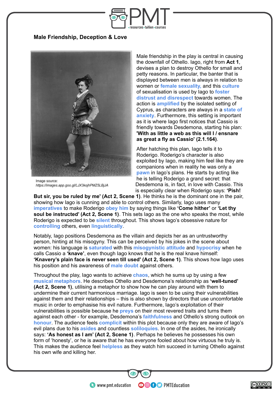

## **Male Friendship, Deception & Love**



Image source: https://images.app.goo.gl/LJX3kojhPMZ5LBjJA

Male friendship in the play is central in causing the downfall of Othello. Iago, right from **Act 1**, devises a plan to destroy Othello for small and petty reasons. In particular, the banter that is displayed between men is always in relation to women or **female sexuality,** and this **culture** of sexualisation is used by Iago to **foster distrust and disrespect** towards women. The action is **amplified** by the isolated setting of Cyprus, as characters are always in a **state of anxiety**. Furthermore, this setting is important as it is where Iago first notices that Cassio is friendly towards Desdemona, starting his plan: **'With as little a web as this will I / ensnare as great a fly as Cassio' (2.1.164)**.

After hatching this plan, Iago tells it to Roderigo. Roderigo's character is also exploited by Iago, making him feel like they are companions when in reality he was only a **pawn** in Iago's plans. He starts by acting like he is telling Roderigo a grand secret: that Desdemona is, in fact, in love with Cassio. This is especially clear when Roderigo says: **'Pish!**

**But sir, you be ruled by me' (Act 2, Scene 1)**. He thinks he is the dominant one in the pair, showing how Iago is cunning and able to control others. Similarly, Iago uses many **imperatives** to make Roderigo **obey him** by saying things like **'Come hither'** or **'Let thy soul be instructed' (Act 2, Scene 1)**. This sets Iago as the one who speaks the most, while Roderigo is expected to be **silent** throughout. This shows Iago's obsessive nature for **controlling** others, even **linguistically**.

Notably, Iago positions Desdemona as the villain and depicts her as an untrustworthy person, hinting at his misogyny. This can be perceived by his jokes in the scene about women: his language is **saturated** with this **misogynistic attitude** and **hypocrisy** when he calls Cassio a **'knave'**, even though Iago knows that he is the real knave himself: **'Knavery's plain face is never seen till used' (Act 2, Scene 1)**. This shows how Iago uses his position and his awareness of **male doubt** against others.

Throughout the play, Iago wants to achieve **chaos**, which he sums up by using a few **musical metaphors**. He describes Othello and Desdemona's relationship as **'well-tuned' (Act 2, Scene 1)**, utilising a metaphor to show how he can play around with them to undermine their current harmonious marriage. Iago is seen to be using their vulnerabilities against them and their relationships – this is also shown by directors that use uncomfortable music in order to emphasise his evil nature. Furthermore, Iago's exploitation of their vulnerabilities is possible because he **preys** on their most revered traits and turns them against each other - for example, Desdemona's **faithfulness** and Othello's strong outlook on **honour**. The audience feels **complicit** within this plot because only they are aware of Iago's evil plans due to his **asides** and countless **soliloquies**. In one of the asides, he ironically says: **'As honest as I am' (Act 2, Scene 1)**. Perhaps he believes he possesses his own form of 'honesty', or he is aware that he has everyone fooled about how virtuous he truly is. This makes the audience feel **helpless** as they watch him succeed in turning Othello against his own wife and killing her.

**OOOO** PMTEducation

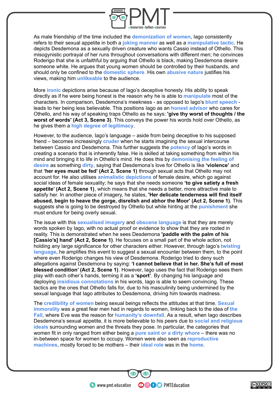

As male friendship of the time included the **demonization of women**, Iago consistently refers to their sexual appetite in both a **joking manner** as well as a **manipulative tactic**. He depicts Desdemona as a sexually driven creature who wants Cassio instead of Othello. This misogynistic portrayal of her runs throughout conversations with different men; he convinces Roderigo that she is unfaithful by arguing that Othello is black, making Desdemona desire someone white. He argues that young women should be controlled by their husbands, and should only be confined to the **domestic sphere**. His own **abusive nature** justifies his views, making him **unlikeable** to the audience.

More **ironic** depictions arise because of Iago's deceptive honesty. His ability to speak directly as if he were being honest is the reason why he is able to **manipulate** most of the characters. In comparison, Desdemona's meekness - as opposed to Iago's **blunt speech** leads to her being less believable. This positions Iago as an **honest advisor** who cares for Othello, and his way of speaking traps Othello as he says: **'give thy worst of thoughts / the worst of words' (Act 3, Scene 3)**. This conveys the power his words hold over Othello, as he gives them a **high degree of legitimacy**.

However, to the audience, Iago's language – aside from being deceptive to his supposed friend – becomes increasingly **cruder** when he starts imagining the sexual intercourse between Cassio and Desdemona. This further suggests the **potency** of Iago's words in creating a scenario that is inherently false. He is skilled at taking something from within his mind and bringing it to life in Othello's mind. He does this by **demonising the feeling of desire** as something **dirty**, saying that Desdemona's love for Othello is like **'violence'** and that **'her eyes must be fed' (Act 2, Scene 1)** through sexual acts that Othello may not account for. He also utilises **animalistic depictions** of female desire, which go against social ideas of female sexuality; he says that she needs someone **'to give satiety a fresh appetite' (Act 2, Scene 1)**, which means that she needs a better, more attractive male to satisfy her. In another piece of imagery, he states, **'Her delicate tenderness will find itself abused, begin to heave the gorge, disrelish and abhor the Moor' (Act 2, Scene 1)**. This suggests she is going to be destroyed by Othello but while hinting at the **punishment** she must endure for being overly sexual.

The issue with this **sexualised imagery** and **obscene language** is that they are merely words spoken by Iago, with no actual proof or evidence to show that they are rooted in reality. This is demonstrated when he sees Desdemona **'paddle with the palm of his [Cassio's] hand' (Act 2, Scene 1)**. He focuses on a small part of the whole action, not holding any large significance for other characters either. However, through Iago's **twisting language**, he amplifies this event to suggest a sexual encounter between them, to the point where even Roderigo changes his view of Desdemona. Roderigo tried to deny such allegations against Desdemona by saying: **'I cannot believe that in her. She's full of most blessed condition' (Act 2, Scene 1)**. However, Iago uses the fact that Roderigo sees them play with each other's hands, terming it as a **'sport'**. By changing his language and deploying **insidious connotations** in his words, Iago is able to seem convincing. These tactics are the ones that Othello falls for, due to his masculinity being undermined by the sexual language that Iago attributes to Desdemona, driving him towards madness.

The **credibility of women** being sexual beings reflects the attitudes at that time. **Sexual immorality** was a great fear men had in regards to women, linking back to the idea of **the Fall**, where Eve was the reason for **humanity's downfall**. As a result, when Iago describes Desdemona's sexual appetite, it is more believable to his peers due to **social and religious ideals** surrounding women and the threats they pose. In particular, the categories that women fit in only ranged from either being a **pure saint or a dirty whore** – there was no in-between space for women to occupy. Women were also seen as **reproductive machines**, mostly forced to be mothers – their **ideal role** was in the **home**.

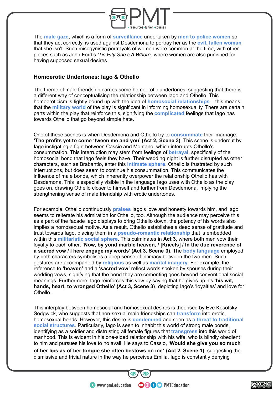

The **male gaze**, which is a form of **surveillance** undertaken by **men to police women** so that they act correctly, is used against Desdemona to portray her as the **evil, fallen woman** that she isn't. Such misogynistic portrayals of women were common at the time, with other pieces such as John Ford's *'Tis Pity She's A Whore,* where women are also punished for having supposed sexual desires.

## **Homoerotic Undertones: Iago & Othello**

The theme of male friendship carries some homoerotic undertones, suggesting that there is a different way of conceptualising the relationship between Iago and Othello. This homoeroticism is tightly bound up with the idea of **homosocial relationships** – this means that the **military world** of the play is significant in informing homosexuality. There are certain parts within the play that reinforce this, signifying the **complicated** feelings that Iago has towards Othello that go beyond simple hate.

One of these scenes is when Desdemona and Othello try to **consummate** their marriage: **'The profits yet to come 'tween me and you' (Act 2, Scene 3)**. This scene is undercut by Iago instigating a fight between Cassio and Montano, which interrupts Othello's consummation. This interruption may stem from feelings of **betrayal**, specifically of the homosocial bond that Iago feels they have. Their wedding night is further disrupted as other characters, such as Brabantio, enter this **intimate sphere**. Othello is frustrated by such interruptions, but does seem to continue his consummation. This communicates the influence of male bonds, which inherently overpower the relationship Othello has with Desdemona. This is especially visible in the language Iago uses with Othello as the play goes on, drawing Othello closer to himself and further from Desdemona, implying the strengthening sense of male friendship with erotic undertones.

For example, Othello continuously **praises** Iago's love and honesty towards him, and Iago seems to reiterate his admiration for Othello, too. Although the audience may perceive this as a part of the facade Iago displays to bring Othello down, the potency of his words also implies a homosexual motive. As a result, Othello establishes a deep sense of gratitude and trust towards Iago, placing them in a **pseudo-romantic relationship** that is embedded within this **militaristic social sphere**. This culminates in **Act 3**, where both men vow their loyalty to each other: **'Now, by yond marble heaven, / [Kneels] / In the due reverence of a sacred vow / I here engage my words' (Act 3, Scene 3)**. The **body language** employed by both characters symbolises a deep sense of intimacy between the two men. Such gestures are accompanied by **religious** as well as **marital imagery**. For example, the reference to **'heaven'** and a **'sacred vow'** reflect words spoken by spouses during their wedding vows, signifying that the bond they are cementing goes beyond conventional social meanings. Furthermore, Iago reinforces this vow by saying that he gives up his **'his wit, hands, heart, to wronged Othello' (Act 3, Scene 3)**, depicting Iago's 'loyalties' and love for Othello.

This interplay between homosocial and homosexual desires is theorised by Eve Kosofsky Sedgwick, who suggests that non-sexual male friendships can **transform** into erotic, homosexual bonds. However, this desire is **condemned** and seen as **a threat to traditional social structures**. Particularly, Iago is seen to inhabit this world of strong male bonds, identifying as a soldier and distrusting all female figures that **transgress** into this world of manhood. This is evident in his one-sided relationship with his wife, who is blindly obedient to him and pursues his love to no avail. He says to Cassio, **'Would she give you so much of her lips as of her tongue she often bestows on me' (Act 2, Scene 1)**, suggesting the dismissive and trivial nature in the way he perceives Emilia. Iago is constantly denying

**OOOO** PMTEducation

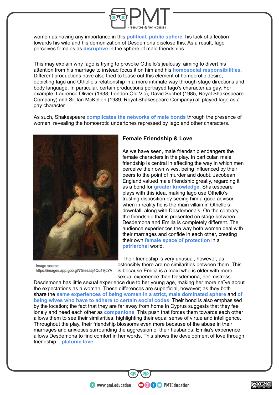

women as having any importance in this **political, public sphere**; his lack of affection towards his wife and his demonization of Desdemona disclose this. As a result, Iago perceives females as **disruptive** in the sphere of male friendships.

This may explain why Iago is trying to provoke Othello's jealousy, aiming to divert his attention from his marriage to instead focus it on him and his **homosocial responsibilities**. Different productions have also tried to tease out this element of homoerotic desire, depicting Iago and Othello's relationship in a more intimate way through stage directions and body language. In particular, certain productions portrayed Iago's character as gay. For example, Laurence Olivier (1938, London Old Vic), David Suchet (1985, Royal Shakespeare Company) and Sir Ian McKellen (1989, Royal Shakespeare Company) all played Iago as a gay character.

As such, Shakespeare **complicates the networks of male bonds** through the presence of women, revealing the homoerotic undertones repressed by Iago and other characters.



Image source: https://images.app.goo.gl/7Giesaaj4Qu19jcYA

## **Female Friendship & Love**

As we have seen, male friendship endangers the female characters in the play. In particular, male friendship is central in affecting the way in which men perceive their own wives, being influenced by their peers to the point of murder and doubt. Jacobean England valued male friendship greatly, regarding it as a bond for **greater knowledge**. Shakespeare plays with this idea, making Iago use Othello's trusting disposition by seeing him a good advisor when in reality he is the main villain in Othello's downfall, along with Desdemona's. On the contrary, the friendship that is presented on stage between Desdemona and Emilia is completely different. The audience experiences the way both women deal with their marriages and confide in each other, creating their own **female space of protection** in a **patriarchal** world.

Their friendship is very unusual, however, as ostensibly there are no similarities between them. This is because Emilia is a maid who is older with more sexual experience than Desdemona, her mistress.

Desdemona has little sexual experience due to her young age, making her more naïve about the expectations as a woman. These differences are superficial, however; as they both share the **same experiences of being women in a strict, male dominated sphere** and **of being wives who have to adhere to certain social codes**. Their bond is also emphasised by the location; the fact that they are far away from home in Cyprus suggests that they feel lonely and need each other as **companions**. This push that forces them towards each other allows them to see their similarities, highlighting their equal sense of virtue and intelligence. Throughout the play, their friendship blossoms even more because of the abuse in their marriages and anxieties surrounding the aggression of their husbands. Emilia's experience allows Desdemona to find comfort in her words. This shows the development of love through friendship – **platonic love**.

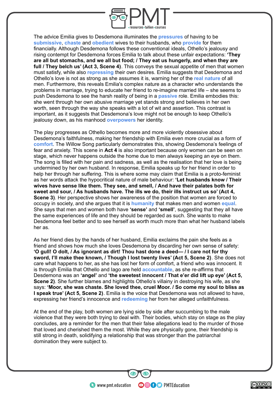

The advice Emilia gives to Desdemona illuminates the **pressures** of having to be **submissive**, **chaste** and **obedient** wives to their husbands, who **provide** for them financially. Although Desdemona follows these conventional ideals, Othello's jealousy and rising contempt for Desdemona forces Emilia to talk about these unfair expectations: **'They are all but stomachs, and we all but food; / They eat us hungerly, and when they are full / They belch us' (Act 3, Scene 4)**. This conveys the sexual appetite of men that women must satisfy, while also **repressing** their own desires. Emilia suggests that Desdemona and Othello's love is not as strong as she assumes it is, warning her of the **real nature** of all men. Furthermore, this reveals Emilia's complex nature as a character who understands the problems in marriage, trying to educate her friend to re-imagine married life – she seems to push Desdemona to see the harsh reality of being in a **passive** role. Emilia embodies this: she went through her own abusive marriage yet stands strong and believes in her own worth, seen through the way she speaks with a lot of wit and assertion. This contrast is important, as it suggests that Desdemona's love might not be enough to keep Othello's jealousy down, as his manhood **overpowers** her identity.

The play progresses as Othello becomes more and more violently obsessive about Desdemona's faithfulness, making her friendship with Emilia even more crucial as a form of **comfort**. The Willow Song particularly demonstrates this, showing Desdemona's feelings of fear and anxiety. This scene in **Act 4** is also important because only women can be seen on stage, which never happens outside the home due to men always keeping an eye on them. The song is filled with her pain and sadness, as well as the realisation that her love is being undermined by her own husband. In response, Emilia speaks up for her friend in order to help her through her suffering. This is where some may claim that Emilia is a proto-feminist as her words attack the hypocritical nature of male behaviour: **'Let husbands know / Their wives have sense like them. They see, and smell, / And have their palates both for sweet and sour, / As husbands have. The ills we do, their ills instruct us so' (Act 4, Scene 3)**. Her perspective shows her awareness of the position that women are forced to occupy in society, and she argues that it is **humanity** that makes men and women **equal**. She says that men and women both have **'sense'** and **'smell'**, suggesting that they all have the same experiences of life and they should be regarded as such. She wants to make Desdemona feel better and to see herself as worth much more than what her husband labels her as.

As her friend dies by the hands of her husband, Emilia exclaims the pain she feels as a friend and shows how much she loves Desdemona by discarding her own sense of safety: **'O gull! O dolt, / As ignorant as dirt! Thou hast done a deed— / I care not for thy sword, I'll make thee known, / Though I lost twenty lives' (Act 5, Scene 2)**. She does not care what happens to her, as she has lost her form of comfort, a friend who was innocent. It is through Emilia that Othello and Iago are held **accountable**, as she re-affirms that Desdemona was an **'angel'** and **'the sweetest innocent / That e'er did lift up eye' (Act 5, Scene 2)**. She further blames and highlights Othello's villainy in destroying his wife, as she says: **'Moor, she was chaste. She loved thee, cruel Moor. / So come my soul to bliss as I speak true' (Act 5, Scene 2)**. Emilia is the voice that Desdemona was not allowed to have, expressing her friend's innocence and **redeeming** her from her alleged unfaithfulness.

At the end of the play, both women are lying side by side after succumbing to the male violence that they were both trying to deal with. Their bodies, which stay on stage as the play concludes, are a reminder for the men that their false allegations lead to the murder of those that loved and cherished them the most. While they are physically gone, their friendship is still strong in death, solidifying a relationship that was stronger than the patriarchal domination they were subject to.

**OOOO** PMTEducation

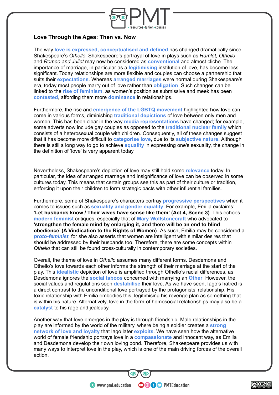

## **Love Through the Ages: Then vs. Now**

The way **love is expressed, conceptualised and defined** has changed dramatically since Shakespeare's *Othello.* Shakespeare's portrayal of love in plays such as *Hamlet, Othello* and *Romeo and Juliet* may now be considered as **conventional** and almost cliche. The importance of marriage, in particular as a **legitimising** institution of love, has become less significant. Today relationships are more flexible and couples can choose a partnership that suits their **expectations**. Whereas **arranged marriages** were normal during Shakespeare's era, today most people marry out of love rather than **obligation**. Such changes can be linked to the **rise of feminism**, as women's position as submissive and meek has been **contested**, affording them more **dominance** in relationships.

Furthermore, the rise and **emergence of the LGBTQ movement** highlighted how love can come in various forms, diminishing **traditional depictions** of love between only men and women. This has been clear in the way **media representations** have changed; for example, some adverts now include gay couples as opposed to the **traditional nuclear family** which consists of a heterosexual couple with children. Consequently, all of these changes suggest that it has become more difficult to **categorise love**, due to its **subjective nature.** Although there is still a long way to go to achieve **equality** in expressing one's sexuality, the change in the definition of 'love' is very apparent today.

Nevertheless, Shakespeare's depiction of love may still hold some **relevance** today. In particular, the idea of arranged marriage and insignificance of love can be observed in some cultures today. This means that certain groups see this as part of their culture or tradition, enforcing it upon their children to form strategic pacts with other influential families.

Furthermore, some of Shakespeare's characters portray **progressive perspectives** when it comes to issues such as **sexuality and gender equality**. For example, Emilia exclaims: **'Let husbands know / Their wives have sense like them' (Act 4, Scene 3)**. This echoes **modern feminist** critiques, especially that of **Mary Wollstonecraft** who advocated to **'strengthen the female mind by enlarging it, and there will be an end to blind obedience' (A Vindication to the Rights of Women)***.* As such, Emilia may be considered a *proto-feminist*, for she also asserts that women are intelligent with similar desires that should be addressed by their husbands too. Therefore, there are some concepts within *Othello* that can still be found cross-culturally in contemporary societies.

Overall, the theme of love in *Othello* assumes many different forms. Desdemona and Othello's love towards each other informs the strength of their marriage at the start of the play. This **idealistic** depiction of love is amplified through Othello's racial differences, as Desdemona ignores the **social taboos** concerned with marrying an **Other**. However, the social values and regulations soon **destabilise** their love. As we have seen, Iago's hatred is a direct contrast to the unconditional love portrayed by the protagonists' relationship. His toxic relationship with Emilia embodies this, legitimising his revenge plan as something that is within his nature. Alternatively, love in the form of homosocial relationships may also be a **catalyst** to his rage and jealousy.

Another way that love emerges in the play is through friendship. Male relationships in the play are informed by the world of the military, where being a soldier creates a **strong network of love and loyalty** that Iago later **exploits**. We have seen how the alternative world of female friendship portrays love in a **compassionate** and innocent way, as Emilia and Desdemona develop their own loving bond. Therefore, Shakespeare provides us with many ways to interpret love in the play, which is one of the main driving forces of the overall action.

**OOOO** PMTEducation